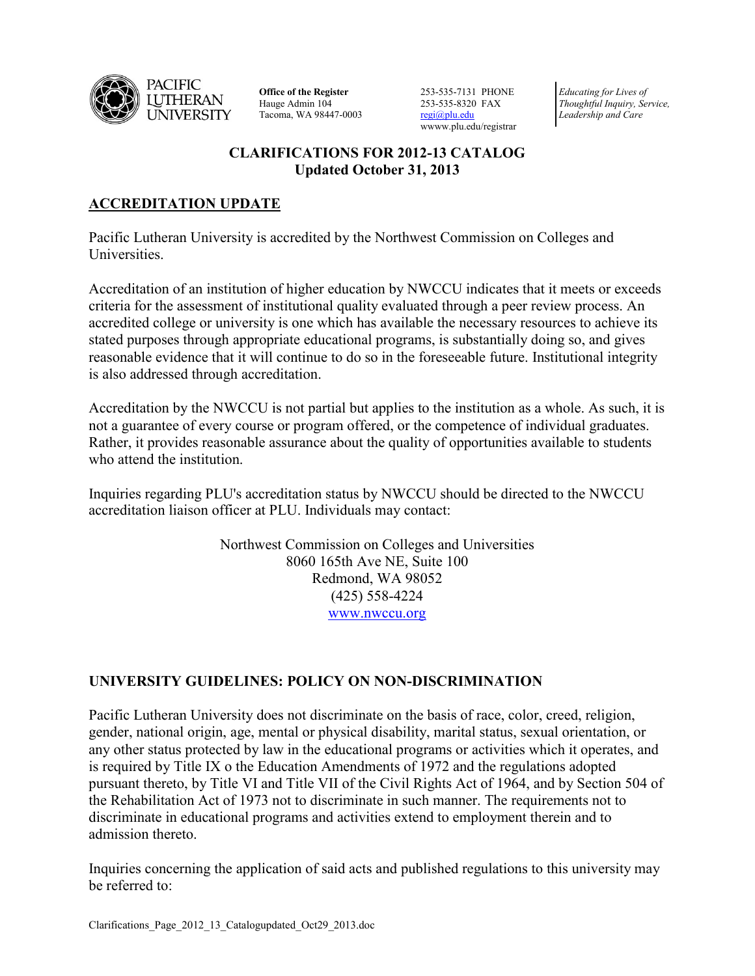

**Office of the Register** Hauge Admin 104 Tacoma, WA 98447-0003 253-535-7131 PHONE 253-535-8320 FAX [regi@plu.edu](mailto:regi@plu.edu) wwww.plu.edu/registrar

*Educating for Lives of Thoughtful Inquiry, Service, Leadership and Care*

# **CLARIFICATIONS FOR 2012-13 CATALOG Updated October 31, 2013**

# **ACCREDITATION UPDATE**

Pacific Lutheran University is accredited by the Northwest Commission on Colleges and **Universities** 

Accreditation of an institution of higher education by NWCCU indicates that it meets or exceeds criteria for the assessment of institutional quality evaluated through a peer review process. An accredited college or university is one which has available the necessary resources to achieve its stated purposes through appropriate educational programs, is substantially doing so, and gives reasonable evidence that it will continue to do so in the foreseeable future. Institutional integrity is also addressed through accreditation.

Accreditation by the NWCCU is not partial but applies to the institution as a whole. As such, it is not a guarantee of every course or program offered, or the competence of individual graduates. Rather, it provides reasonable assurance about the quality of opportunities available to students who attend the institution

Inquiries regarding PLU's accreditation status by NWCCU should be directed to the NWCCU accreditation liaison officer at PLU. Individuals may contact:

> Northwest Commission on Colleges and Universities 8060 165th Ave NE, Suite 100 Redmond, WA 98052 (425) 558-4224 [www.nwccu.org](http://www.nwccu.org/)

# **UNIVERSITY GUIDELINES: POLICY ON NON-DISCRIMINATION**

Pacific Lutheran University does not discriminate on the basis of race, color, creed, religion, gender, national origin, age, mental or physical disability, marital status, sexual orientation, or any other status protected by law in the educational programs or activities which it operates, and is required by Title IX o the Education Amendments of 1972 and the regulations adopted pursuant thereto, by Title VI and Title VII of the Civil Rights Act of 1964, and by Section 504 of the Rehabilitation Act of 1973 not to discriminate in such manner. The requirements not to discriminate in educational programs and activities extend to employment therein and to admission thereto.

Inquiries concerning the application of said acts and published regulations to this university may be referred to: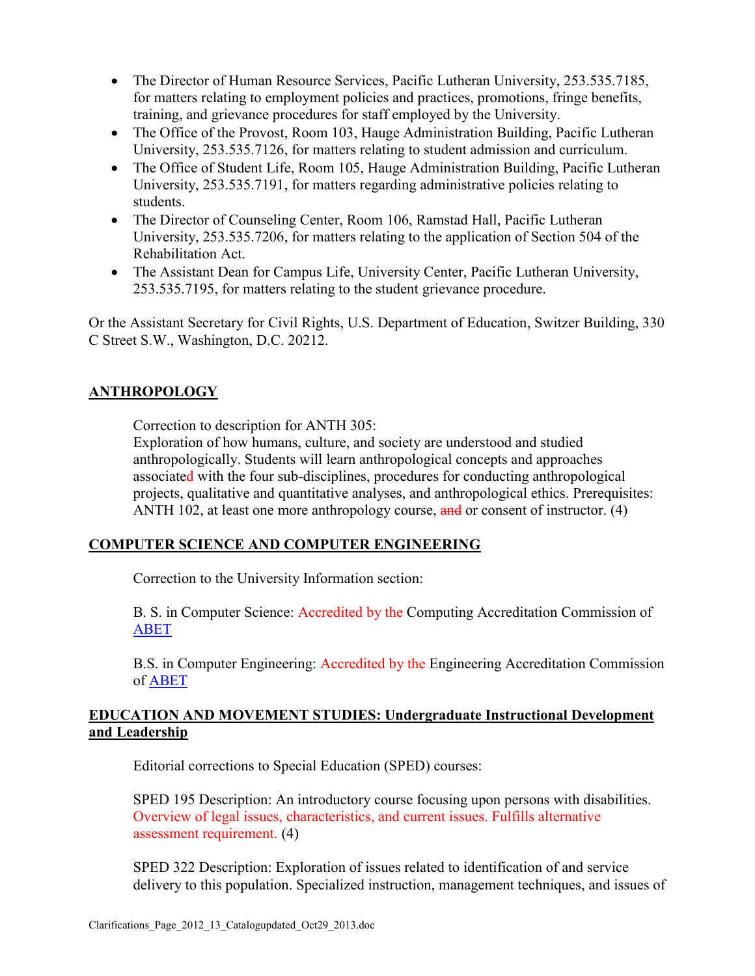- The Director of Human Resource Services, Pacific Lutheran University, 253.535.7185, for matters relating to employment policies and practices, promotions, fringe benefits, training, and grievance procedures for staff employed by the University.
- The Office of the Provost, Room 103, Hauge Administration Building, Pacific Lutheran University, 253.535.7126, for matters relating to student admission and curriculum.
- The Office of Student Life, Room 105, Hauge Administration Building, Pacific Lutheran University, 253.535.7191, for matters regarding administrative policies relating to students.
- The Director of Counseling Center, Room 106, Ramstad Hall, Pacific Lutheran University, 253.535.7206, for matters relating to the application of Section 504 of the Rehabilitation Act.
- The Assistant Dean for Campus Life, University Center, Pacific Lutheran University, 253.535.7195, for matters relating to the student grievance procedure.

Or the Assistant Secretary for Civil Rights, U.S. Department of Education, Switzer Building, 330 C Street S.W., Washington, D.C. 20212.

# **ANTHROPOLOGY**

Correction to description for ANTH 305:

Exploration of how humans, culture, and society are understood and studied anthropologically. Students will learn anthropological concepts and approaches associated with the four sub-disciplines, procedures for conducting anthropological projects, qualitative and quantitative analyses, and anthropological ethics. Prerequisites: ANTH 102, at least one more anthropology course, and or consent of instructor. (4)

## **COMPUTER SCIENCE AND COMPUTER ENGINEERING**

Correction to the University Information section:

B. S. in Computer Science: Accredited by the Computing Accreditation Commission of [ABET](http://www.abet.org/)

B.S. in Computer Engineering: Accredited by the Engineering Accreditation Commission of [ABET](http://www.abet.org/)

## **EDUCATION AND MOVEMENT STUDIES: Undergraduate Instructional Development and Leadership**

Editorial corrections to Special Education (SPED) courses:

SPED 195 Description: An introductory course focusing upon persons with disabilities. Overview of legal issues, characteristics, and current issues. Fulfills alternative assessment requirement. (4)

SPED 322 Description: Exploration of issues related to identification of and service delivery to this population. Specialized instruction, management techniques, and issues of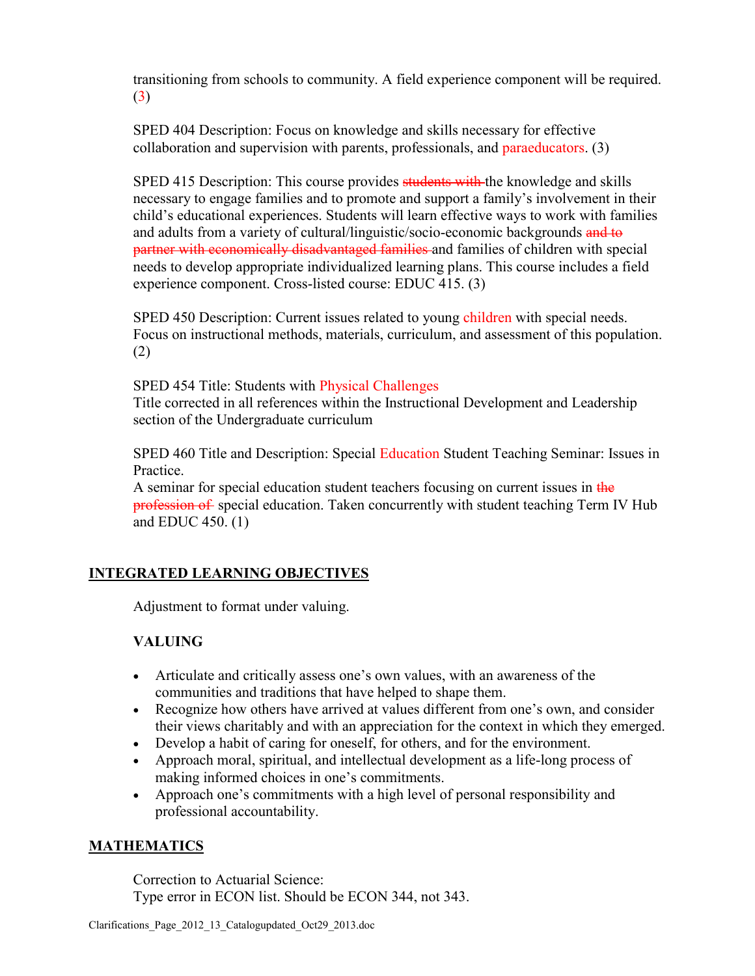transitioning from schools to community. A field experience component will be required. (3)

SPED 404 Description: Focus on knowledge and skills necessary for effective collaboration and supervision with parents, professionals, and paraeducators. (3)

SPED 415 Description: This course provides students with the knowledge and skills necessary to engage families and to promote and support a family's involvement in their child's educational experiences. Students will learn effective ways to work with families and adults from a variety of cultural/linguistic/socio-economic backgrounds and to partner with economically disadvantaged families and families of children with special needs to develop appropriate individualized learning plans. This course includes a field experience component. Cross-listed course: EDUC 415. (3)

SPED 450 Description: Current issues related to young children with special needs. Focus on instructional methods, materials, curriculum, and assessment of this population. (2)

SPED 454 Title: Students with Physical Challenges

Title corrected in all references within the Instructional Development and Leadership section of the Undergraduate curriculum

SPED 460 Title and Description: Special Education Student Teaching Seminar: Issues in **Practice** 

A seminar for special education student teachers focusing on current issues in the profession of special education. Taken concurrently with student teaching Term IV Hub and EDUC 450. (1)

# **INTEGRATED LEARNING OBJECTIVES**

Adjustment to format under valuing.

# **VALUING**

- Articulate and critically assess one's own values, with an awareness of the communities and traditions that have helped to shape them.
- Recognize how others have arrived at values different from one's own, and consider their views charitably and with an appreciation for the context in which they emerged.
- Develop a habit of caring for oneself, for others, and for the environment.
- Approach moral, spiritual, and intellectual development as a life-long process of making informed choices in one's commitments.
- Approach one's commitments with a high level of personal responsibility and professional accountability.

## **MATHEMATICS**

Correction to Actuarial Science: Type error in ECON list. Should be ECON 344, not 343.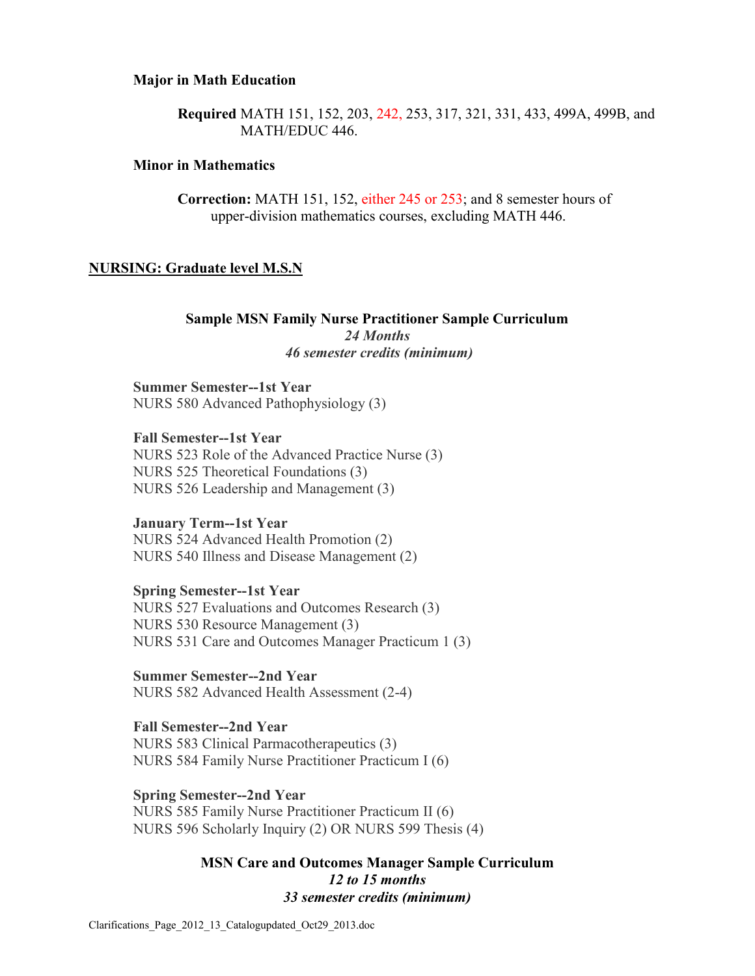#### **Major in Math Education**

**Required** MATH 151, 152, 203, 242, 253, 317, 321, 331, 433, 499A, 499B, and MATH/EDUC 446.

#### **Minor in Mathematics**

**Correction:** MATH 151, 152, either 245 or 253; and 8 semester hours of upper-division mathematics courses, excluding MATH 446.

#### **NURSING: Graduate level M.S.N**

**Sample MSN Family Nurse Practitioner Sample Curriculum** *24 Months 46 semester credits (minimum)*

**Summer Semester--1st Year** NURS 580 Advanced Pathophysiology (3)

**Fall Semester--1st Year** NURS 523 Role of the Advanced Practice Nurse (3) NURS 525 Theoretical Foundations (3) NURS 526 Leadership and Management (3)

#### **January Term--1st Year**

NURS 524 Advanced Health Promotion (2) NURS 540 Illness and Disease Management (2)

**Spring Semester--1st Year** NURS 527 Evaluations and Outcomes Research (3) NURS 530 Resource Management (3) NURS 531 Care and Outcomes Manager Practicum 1 (3)

**Summer Semester--2nd Year** NURS 582 Advanced Health Assessment (2-4)

**Fall Semester--2nd Year** NURS 583 Clinical Parmacotherapeutics (3) NURS 584 Family Nurse Practitioner Practicum I (6)

**Spring Semester--2nd Year**

NURS 585 Family Nurse Practitioner Practicum II (6) NURS 596 Scholarly Inquiry (2) OR NURS 599 Thesis (4)

### **MSN Care and Outcomes Manager Sample Curriculum**  *12 to 15 months 33 semester credits (minimum)*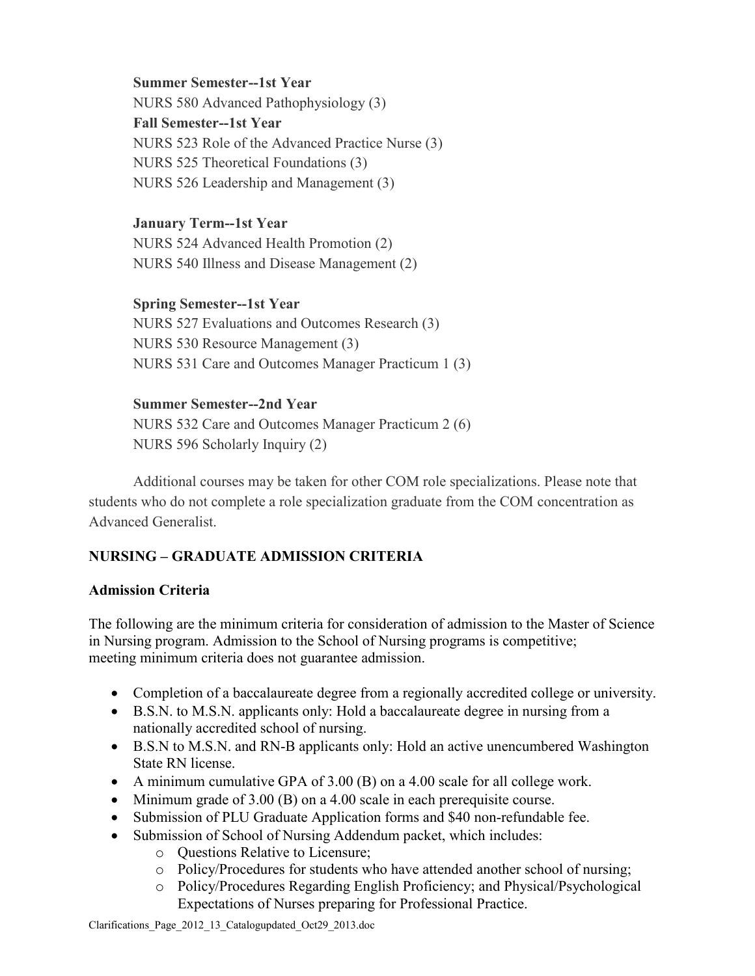### **Summer Semester--1st Year**

NURS 580 Advanced Pathophysiology (3) **Fall Semester--1st Year** NURS 523 Role of the Advanced Practice Nurse (3) NURS 525 Theoretical Foundations (3) NURS 526 Leadership and Management (3)

## **January Term--1st Year**

NURS 524 Advanced Health Promotion (2) NURS 540 Illness and Disease Management (2)

# **Spring Semester--1st Year**

NURS 527 Evaluations and Outcomes Research (3) NURS 530 Resource Management (3) NURS 531 Care and Outcomes Manager Practicum 1 (3)

## **Summer Semester--2nd Year**

NURS 532 Care and Outcomes Manager Practicum 2 (6) NURS 596 Scholarly Inquiry (2)

Additional courses may be taken for other COM role specializations. Please note that students who do not complete a role specialization graduate from the COM concentration as Advanced Generalist.

# **NURSING – GRADUATE ADMISSION CRITERIA**

# **Admission Criteria**

The following are the minimum criteria for consideration of admission to the Master of Science in Nursing program. Admission to the School of Nursing programs is competitive; meeting minimum criteria does not guarantee admission.

- Completion of a baccalaureate degree from a regionally accredited college or university.
- B.S.N. to M.S.N. applicants only: Hold a baccalaureate degree in nursing from a nationally accredited school of nursing.
- B.S.N to M.S.N. and RN-B applicants only: Hold an active unencumbered Washington State RN license.
- A minimum cumulative GPA of 3.00 (B) on a 4.00 scale for all college work.
- Minimum grade of 3.00 (B) on a 4.00 scale in each prerequisite course.
- Submission of PLU Graduate Application forms and \$40 non-refundable fee.
- Submission of School of Nursing Addendum packet, which includes:
	- o Questions Relative to Licensure;
	- o Policy/Procedures for students who have attended another school of nursing;
	- o Policy/Procedures Regarding English Proficiency; and Physical/Psychological Expectations of Nurses preparing for Professional Practice.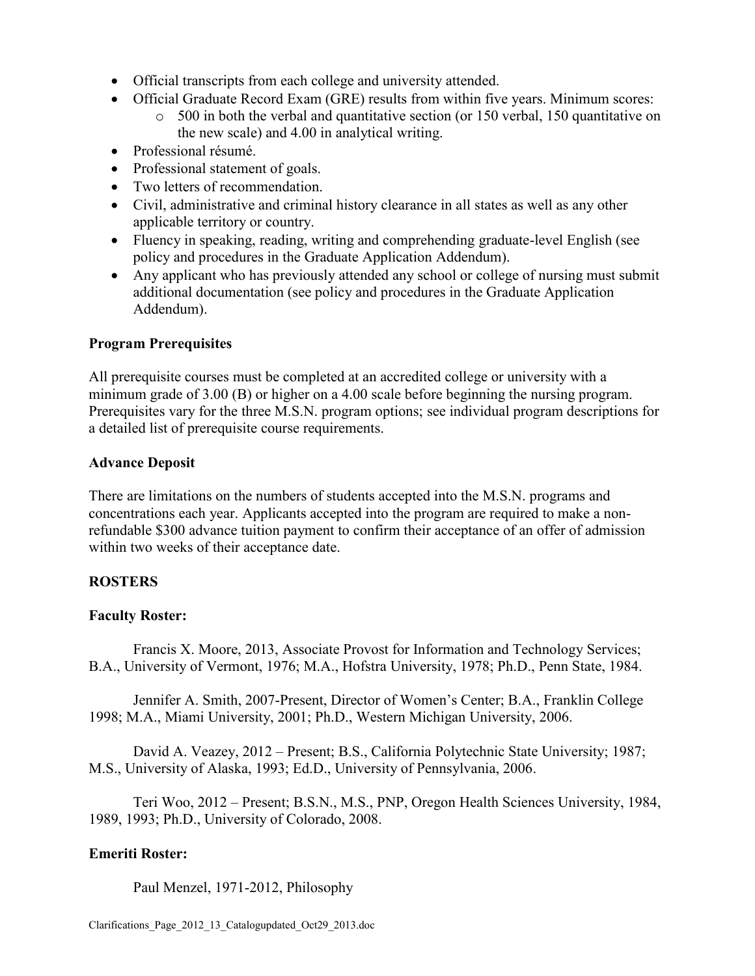- Official transcripts from each college and university attended.
- Official Graduate Record Exam (GRE) results from within five years. Minimum scores:
	- o 500 in both the verbal and quantitative section (or 150 verbal, 150 quantitative on the new scale) and 4.00 in analytical writing.
- Professional résumé.
- Professional statement of goals.
- Two letters of recommendation.
- Civil, administrative and criminal history clearance in all states as well as any other applicable territory or country.
- Fluency in speaking, reading, writing and comprehending graduate-level English (see policy and procedures in the Graduate Application Addendum).
- Any applicant who has previously attended any school or college of nursing must submit additional documentation (see policy and procedures in the Graduate Application Addendum).

## **Program Prerequisites**

All prerequisite courses must be completed at an accredited college or university with a minimum grade of 3.00 (B) or higher on a 4.00 scale before beginning the nursing program. Prerequisites vary for the three M.S.N. program options; see individual program descriptions for a detailed list of prerequisite course requirements.

### **Advance Deposit**

There are limitations on the numbers of students accepted into the M.S.N. programs and concentrations each year. Applicants accepted into the program are required to make a nonrefundable \$300 advance tuition payment to confirm their acceptance of an offer of admission within two weeks of their acceptance date.

## **ROSTERS**

## **Faculty Roster:**

Francis X. Moore, 2013, Associate Provost for Information and Technology Services; B.A., University of Vermont, 1976; M.A., Hofstra University, 1978; Ph.D., Penn State, 1984.

Jennifer A. Smith, 2007-Present, Director of Women's Center; B.A., Franklin College 1998; M.A., Miami University, 2001; Ph.D., Western Michigan University, 2006.

David A. Veazey, 2012 – Present; B.S., California Polytechnic State University; 1987; M.S., University of Alaska, 1993; Ed.D., University of Pennsylvania, 2006.

Teri Woo, 2012 – Present; B.S.N., M.S., PNP, Oregon Health Sciences University, 1984, 1989, 1993; Ph.D., University of Colorado, 2008.

## **Emeriti Roster:**

Paul Menzel, 1971-2012, Philosophy